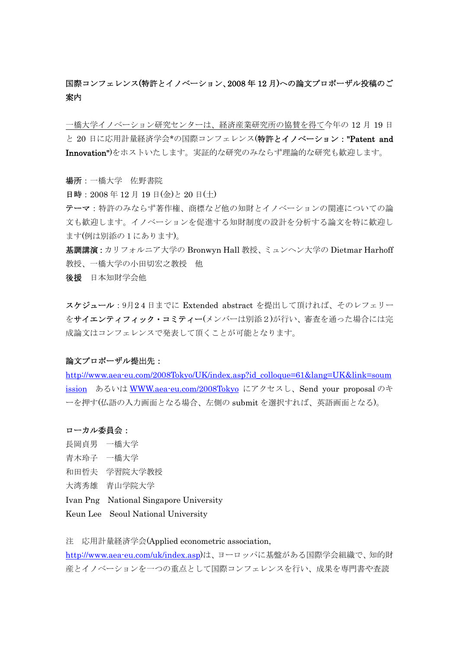# 国際コンフェレンス(特許とイノベーション、2008 年 12 月)への論文プロポーザル投稿のご 案内

一橋大学イノベーション研究センターは、経済産業研究所の協賛を得て今年の 12 月 19 日 と 20 日に応用計量経済学会\*の国際コンフェレンス(特許とイノベーション: "Patent and Innovation")をホストいたします。実証的な研究のみならず理論的な研究も歓迎します。

### 場所:一橋大学 佐野書院

日時:2008 年 12 月 19 日(金)と 20 日(土)

テーマ:特許のみならず著作権、商標など他の知財とイノベーションの関連についての論 文も歓迎します。イノベーションを促進する知財制度の設計を分析する論文を特に歓迎し ます(例は別添の1にあります)。

基調講演:カリフォルニア大学の Bronwyn Hall 教授、ミュンヘン大学の Dietmar Harhoff 教授、一橋大学の小田切宏之教授 他

後援 日本知財学会他

スケジュール:9月2 4 日までに Extended abstract を提出して頂ければ、そのレフェリー をサイエンティフィック・コミティー(メンバーは別添2)が行い、審査を通った場合には完 成論文はコンフェレンスで発表して頂くことが可能となります。

## 論文プロポーザル提出先:

http://www.aea-eu.com/2008Tokyo/UK/index.asp?id\_colloque=61&lang=UK&link=soum ission あるいは WWW.aea-eu.com/2008Tokyo にアクセスし、Send your proposal のキ ーを押す(仏語の入力画面となる場合、左側の submit を選択すれば、英語画面となる)。

#### ローカル委員会:

- 長岡貞男 一橋大学
- 青木玲子 一橋大学
- 和田哲夫 学習院大学教授
- 大湾秀雄 青山学院大学
- Ivan Png National Singapore University
- Keun Lee Seoul National University

注 応用計量経済学会(Applied econometric association,

http://www.aea-eu.com/uk/index.asp)は、ヨーロッパに基盤がある国際学会組織で、知的財 産とイノベーションを一つの重点として国際コンフェレンスを行い、成果を専門書や査読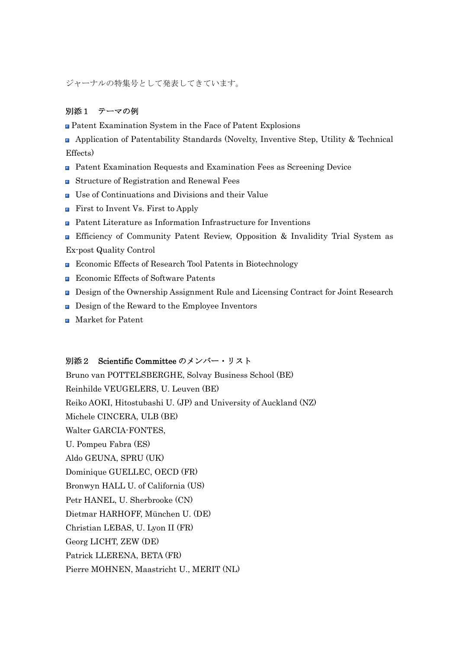ジャーナルの特集号として発表してきています。

## 別添1 テーマの例

Patent Examination System in the Face of Patent Explosions

 Application of Patentability Standards (Novelty, Inventive Step, Utility & Technical Effects)

- Patent Examination Requests and Examination Fees as Screening Device
- Structure of Registration and Renewal Fees
- Use of Continuations and Divisions and their Value
- **First to Invent Vs. First to Apply**
- Patent Literature as Information Infrastructure for Inventions
- Efficiency of Community Patent Review, Opposition & Invalidity Trial System as Ex-post Quality Control
- Economic Effects of Research Tool Patents in Biotechnology
- Economic Effects of Software Patents
- Design of the Ownership Assignment Rule and Licensing Contract for Joint Research
- **Design of the Reward to the Employee Inventors**
- **Market for Patent**

## 別添2 Scientific Committee のメンバー・リスト

Bruno van POTTELSBERGHE, Solvay Business School (BE) Reinhilde VEUGELERS, U. Leuven (BE) Reiko AOKI, Hitostubashi U. (JP) and University of Auckland (NZ) Michele CINCERA, ULB (BE) Walter GARCIA-FONTES, U. Pompeu Fabra (ES) Aldo GEUNA, SPRU (UK) Dominique GUELLEC, OECD (FR) Bronwyn HALL U. of California (US) Petr HANEL, U. Sherbrooke (CN) Dietmar HARHOFF, München U. (DE) Christian LEBAS, U. Lyon II (FR) Georg LICHT, ZEW (DE) Patrick LLERENA, BETA (FR) Pierre MOHNEN, Maastricht U., MERIT (NL)